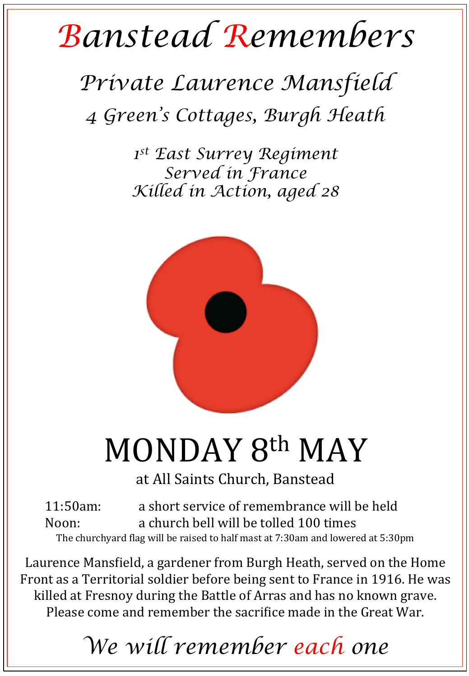## *Banstead Remembers*

## *Private Laurence Mansfield 4 Green's Cottages, Burgh Heath*

*1st East Surrey Regiment Served in France Killed in Action, aged 28* 



# MONDAY 8th MAY

at All Saints Church, Banstead

11:50am: a short service of remembrance will be held Noon: a church bell will be tolled 100 times The churchyard flag will be raised to half mast at 7:30am and lowered at 5:30pm

Laurence Mansfield, a gardener from Burgh Heath, served on the Home Front as a Territorial soldier before being sent to France in 1916. He was killed at Fresnoy during the Battle of Arras and has no known grave. Please come and remember the sacrifice made in the Great War.

### *We will remember each one*